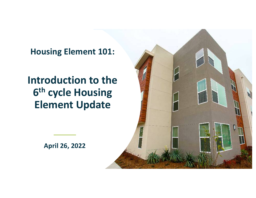**Housing Element 101:** 

# **Element Update Introduction to the 6<sup>th</sup> cycle** Housing

**April 26, 2022**

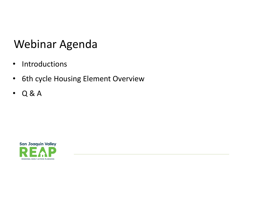# Webinar Agenda

- Introductions
- 6th cycle Housing Element Overview
- $\cdot$  Q & A

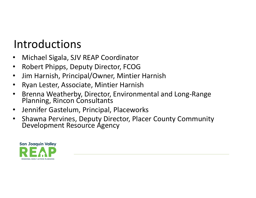# Introductions

- Michael Sigala, SJV REAP Coordinator
- Robert Phipps, Deputy Director, FCOG
- Jim Harnish, Principal/Owner, Mintier Harnish
- Ryan Lester, Associate, Mintier Harnish
- Brenna Weatherby, Director, Environmental and Long-Range Planning, Rincon Consultants
- Jennifer Gastelum, Principal, Placeworks
- Shawna Pervines, Deputy Director, Placer County Community<br>Development Resource Agency

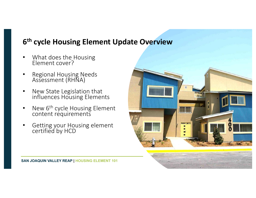## **6<sup>th</sup> cycle Housing Element Update Overview**

- What does the Housing Element cover?
- Regional Housing Needs Assessment (RHÑA)
- New State Legislation that influences Housing Elements
- New 6<sup>th</sup> cycle Housing Element content requirements
- Getting your Housing element certified by HCD

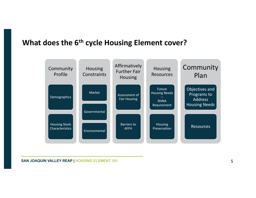#### **What does the 6<sup>th</sup> cycle Housing Element cover?**

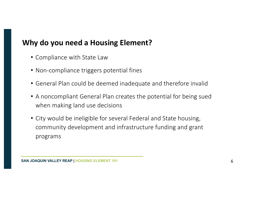## **Why do you need a Housing Element?**

- Compliance with State Law
- Non-compliance triggers potential fines
- General Plan could be deemed inadequate and therefore invalid
- A noncompliant General Plan creates the potential for being sued when making land use decisions
- City would be ineligible for several Federal and State housing, community development and infrastructure funding and grant programs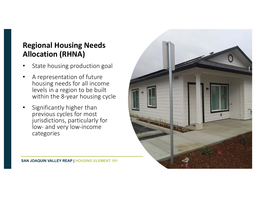## **Regional Housing Needs Allocation (RHNA)**

- State housing production goal
- A representation of future housing needs for all income levels in a region to be built within the 8-year housing cycle
- Significantly higher than previous cycles for most jurisdictions, particularly for low- and very low-income categories

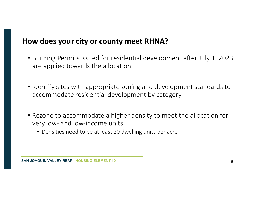#### How does your city or county meet RHNA?

- Building Permits issued for residential development after July 1, 2023 are applied towards the allocation
- Identify sites with appropriate zoning and development standards to accommodate residential development by category
- Rezone to accommodate a higher density to meet the allocation for very low- and low-income units
	- Densities need to be at least 20 dwelling units per acre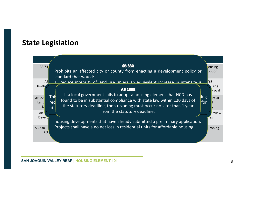#### **State Legislation**

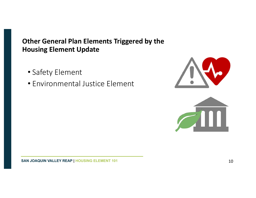#### **Other General Plan Elements Triggered by the Housing Element Update**

- Safety Element
- Environmental Justice Element



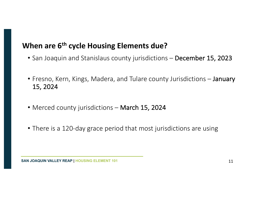## **When are 6<sup>th</sup> cycle Housing Elements due?**

- San Joaquin and Stanislaus county jurisdictions December 15, 2023
- Fresno, Kern, Kings, Madera, and Tulare county Jurisdictions January 15, 2024
- Merced county jurisdictions March 15, 2024
- There is a 120-day grace period that most jurisdictions are using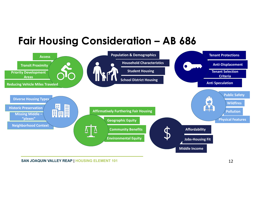# **Fair Housing Consideration – AB 686**

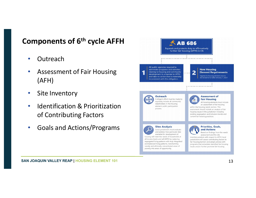### **Components of 6<sup>th</sup> cycle AFFH**

- Outreach
- Assessment of Fair Housing (AFH)
- Site Inventory
- Identification & Prioritization of Contributing Factors
- Goals and Actions/Programs

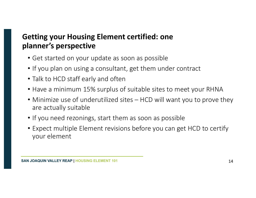# **Getting your Housing Element certified: one planner's perspective**

- Get started on your update as soon as possible
- If you plan on using a consultant, get them under contract
- Talk to HCD staff early and often
- Have a minimum 15% surplus of suitable sites to meet your RHNA
- Minimize use of underutilized sites HCD will want you to prove they are actually suitable
- If you need rezonings, start them as soon as possible
- Expect multiple Element revisions before you can get HCD to certify your element